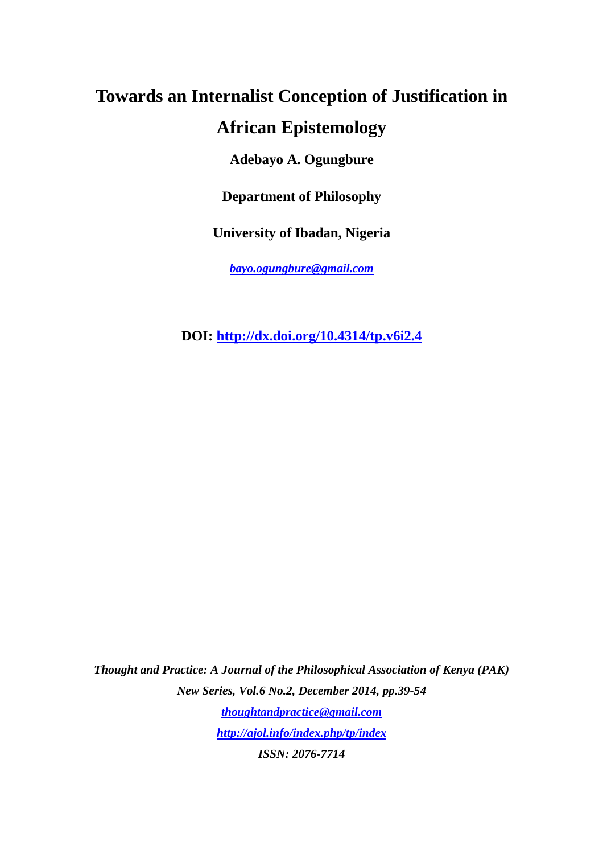# **Towards an Internalist Conception of Justification in African Epistemology**

**Adebayo A. Ogungbure** 

**Department of Philosophy** 

**University of Ibadan, Nigeria** 

*bayo.ogungbure@gmail.com*

**DOI: http://dx.doi.org/10.4314/tp.v6i2.4**

*Thought and Practice: A Journal of the Philosophical Association of Kenya (PAK) New Series, Vol.6 No.2, December 2014, pp.39-54 thoughtandpractice@gmail.com http://ajol.info/index.php/tp/index ISSN: 2076-7714*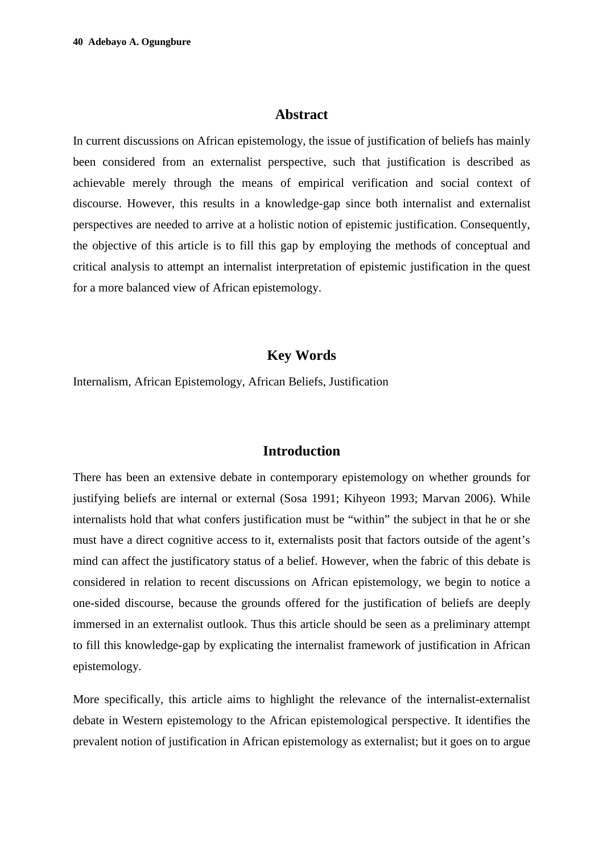#### **Abstract**

In current discussions on African epistemology, the issue of justification of beliefs has mainly been considered from an externalist perspective, such that justification is described as achievable merely through the means of empirical verification and social context of discourse. However, this results in a knowledge-gap since both internalist and externalist perspectives are needed to arrive at a holistic notion of epistemic justification. Consequently, the objective of this article is to fill this gap by employing the methods of conceptual and critical analysis to attempt an internalist interpretation of epistemic justification in the quest for a more balanced view of African epistemology.

## **Key Words**

Internalism, African Epistemology, African Beliefs, Justification

# **Introduction**

There has been an extensive debate in contemporary epistemology on whether grounds for justifying beliefs are internal or external (Sosa 1991; Kihyeon 1993; Marvan 2006). While internalists hold that what confers justification must be "within" the subject in that he or she must have a direct cognitive access to it, externalists posit that factors outside of the agent's mind can affect the justificatory status of a belief. However, when the fabric of this debate is considered in relation to recent discussions on African epistemology, we begin to notice a one-sided discourse, because the grounds offered for the justification of beliefs are deeply immersed in an externalist outlook. Thus this article should be seen as a preliminary attempt to fill this knowledge-gap by explicating the internalist framework of justification in African epistemology.

More specifically, this article aims to highlight the relevance of the internalist-externalist debate in Western epistemology to the African epistemological perspective. It identifies the prevalent notion of justification in African epistemology as externalist; but it goes on to argue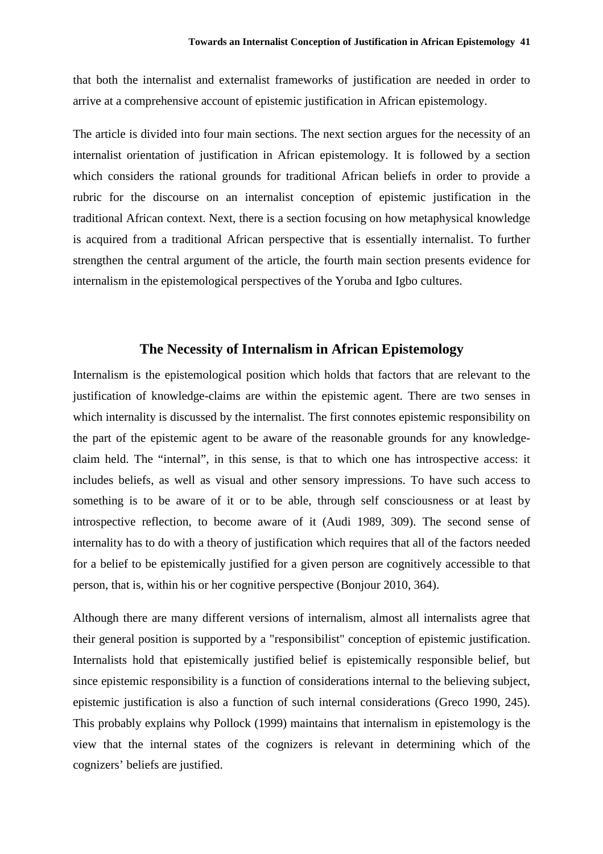that both the internalist and externalist frameworks of justification are needed in order to arrive at a comprehensive account of epistemic justification in African epistemology.

The article is divided into four main sections. The next section argues for the necessity of an internalist orientation of justification in African epistemology. It is followed by a section which considers the rational grounds for traditional African beliefs in order to provide a rubric for the discourse on an internalist conception of epistemic justification in the traditional African context. Next, there is a section focusing on how metaphysical knowledge is acquired from a traditional African perspective that is essentially internalist. To further strengthen the central argument of the article, the fourth main section presents evidence for internalism in the epistemological perspectives of the Yoruba and Igbo cultures.

## **The Necessity of Internalism in African Epistemology**

Internalism is the epistemological position which holds that factors that are relevant to the justification of knowledge-claims are within the epistemic agent. There are two senses in which internality is discussed by the internalist. The first connotes epistemic responsibility on the part of the epistemic agent to be aware of the reasonable grounds for any knowledgeclaim held. The "internal", in this sense, is that to which one has introspective access: it includes beliefs, as well as visual and other sensory impressions. To have such access to something is to be aware of it or to be able, through self consciousness or at least by introspective reflection, to become aware of it (Audi 1989, 309). The second sense of internality has to do with a theory of justification which requires that all of the factors needed for a belief to be epistemically justified for a given person are cognitively accessible to that person, that is, within his or her cognitive perspective (Bonjour 2010, 364).

Although there are many different versions of internalism, almost all internalists agree that their general position is supported by a "responsibilist" conception of epistemic justification. Internalists hold that epistemically justified belief is epistemically responsible belief, but since epistemic responsibility is a function of considerations internal to the believing subject, epistemic justification is also a function of such internal considerations (Greco 1990, 245). This probably explains why Pollock (1999) maintains that internalism in epistemology is the view that the internal states of the cognizers is relevant in determining which of the cognizers' beliefs are justified.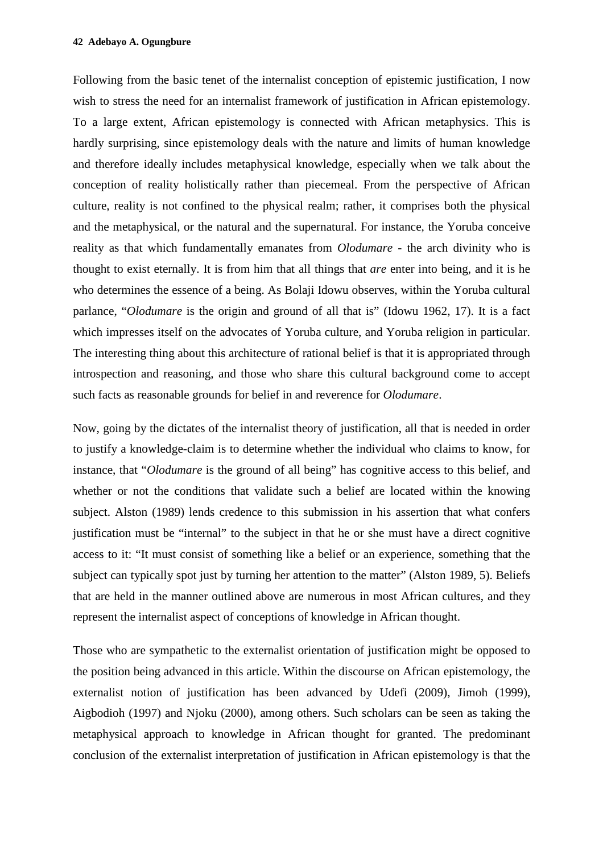Following from the basic tenet of the internalist conception of epistemic justification, I now wish to stress the need for an internalist framework of justification in African epistemology. To a large extent, African epistemology is connected with African metaphysics. This is hardly surprising, since epistemology deals with the nature and limits of human knowledge and therefore ideally includes metaphysical knowledge, especially when we talk about the conception of reality holistically rather than piecemeal. From the perspective of African culture, reality is not confined to the physical realm; rather, it comprises both the physical and the metaphysical, or the natural and the supernatural. For instance, the Yoruba conceive reality as that which fundamentally emanates from *Olodumare* - the arch divinity who is thought to exist eternally. It is from him that all things that *are* enter into being, and it is he who determines the essence of a being. As Bolaji Idowu observes, within the Yoruba cultural parlance, "*Olodumare* is the origin and ground of all that is" (Idowu 1962, 17). It is a fact which impresses itself on the advocates of Yoruba culture, and Yoruba religion in particular. The interesting thing about this architecture of rational belief is that it is appropriated through introspection and reasoning, and those who share this cultural background come to accept such facts as reasonable grounds for belief in and reverence for *Olodumare*.

Now, going by the dictates of the internalist theory of justification, all that is needed in order to justify a knowledge-claim is to determine whether the individual who claims to know, for instance, that "*Olodumare* is the ground of all being" has cognitive access to this belief, and whether or not the conditions that validate such a belief are located within the knowing subject. Alston (1989) lends credence to this submission in his assertion that what confers justification must be "internal" to the subject in that he or she must have a direct cognitive access to it: "It must consist of something like a belief or an experience, something that the subject can typically spot just by turning her attention to the matter" (Alston 1989, 5). Beliefs that are held in the manner outlined above are numerous in most African cultures, and they represent the internalist aspect of conceptions of knowledge in African thought.

Those who are sympathetic to the externalist orientation of justification might be opposed to the position being advanced in this article. Within the discourse on African epistemology, the externalist notion of justification has been advanced by Udefi (2009), Jimoh (1999), Aigbodioh (1997) and Njoku (2000), among others. Such scholars can be seen as taking the metaphysical approach to knowledge in African thought for granted. The predominant conclusion of the externalist interpretation of justification in African epistemology is that the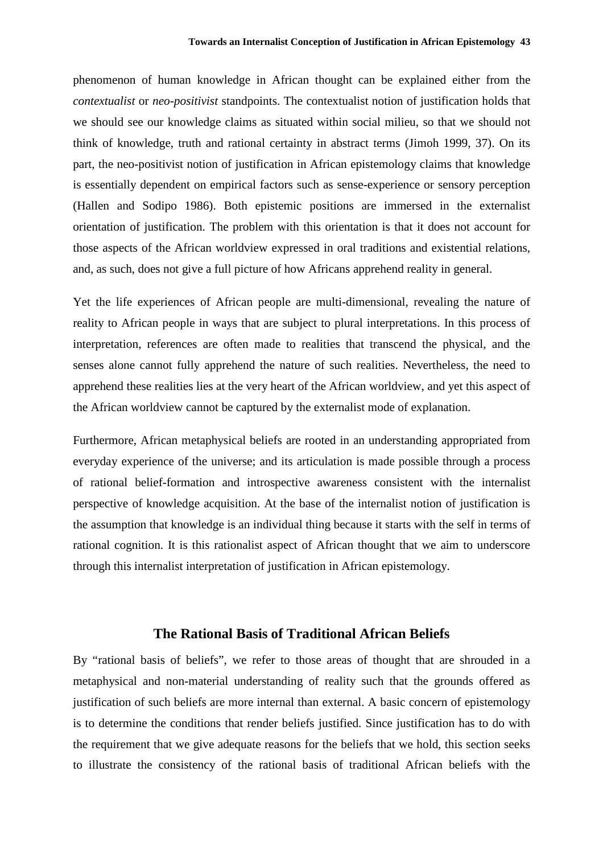phenomenon of human knowledge in African thought can be explained either from the *contextualist* or *neo-positivist* standpoints. The contextualist notion of justification holds that we should see our knowledge claims as situated within social milieu, so that we should not think of knowledge, truth and rational certainty in abstract terms (Jimoh 1999, 37). On its part, the neo-positivist notion of justification in African epistemology claims that knowledge is essentially dependent on empirical factors such as sense-experience or sensory perception (Hallen and Sodipo 1986). Both epistemic positions are immersed in the externalist orientation of justification. The problem with this orientation is that it does not account for those aspects of the African worldview expressed in oral traditions and existential relations, and, as such, does not give a full picture of how Africans apprehend reality in general.

Yet the life experiences of African people are multi-dimensional, revealing the nature of reality to African people in ways that are subject to plural interpretations. In this process of interpretation, references are often made to realities that transcend the physical, and the senses alone cannot fully apprehend the nature of such realities. Nevertheless, the need to apprehend these realities lies at the very heart of the African worldview, and yet this aspect of the African worldview cannot be captured by the externalist mode of explanation.

Furthermore, African metaphysical beliefs are rooted in an understanding appropriated from everyday experience of the universe; and its articulation is made possible through a process of rational belief-formation and introspective awareness consistent with the internalist perspective of knowledge acquisition. At the base of the internalist notion of justification is the assumption that knowledge is an individual thing because it starts with the self in terms of rational cognition. It is this rationalist aspect of African thought that we aim to underscore through this internalist interpretation of justification in African epistemology.

## **The Rational Basis of Traditional African Beliefs**

By "rational basis of beliefs", we refer to those areas of thought that are shrouded in a metaphysical and non-material understanding of reality such that the grounds offered as justification of such beliefs are more internal than external. A basic concern of epistemology is to determine the conditions that render beliefs justified. Since justification has to do with the requirement that we give adequate reasons for the beliefs that we hold, this section seeks to illustrate the consistency of the rational basis of traditional African beliefs with the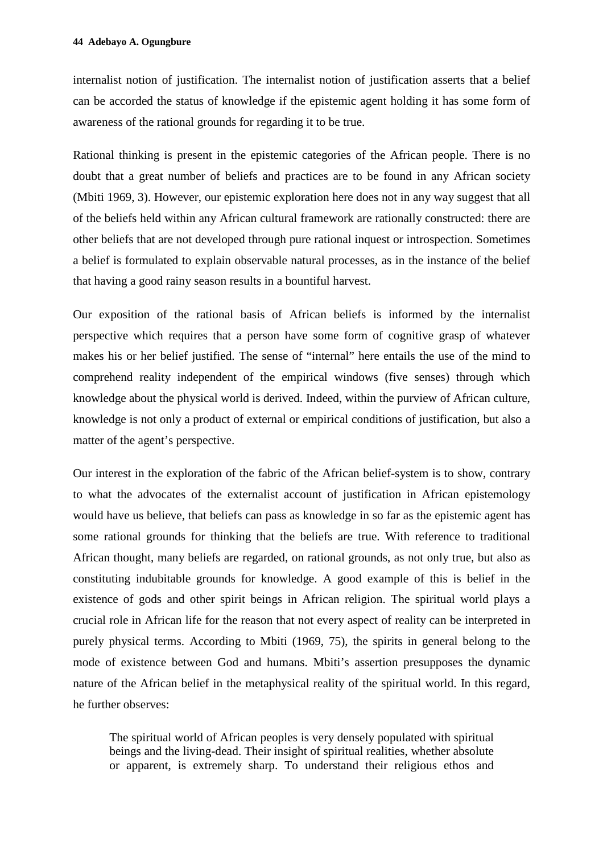internalist notion of justification. The internalist notion of justification asserts that a belief can be accorded the status of knowledge if the epistemic agent holding it has some form of awareness of the rational grounds for regarding it to be true.

Rational thinking is present in the epistemic categories of the African people. There is no doubt that a great number of beliefs and practices are to be found in any African society (Mbiti 1969, 3). However, our epistemic exploration here does not in any way suggest that all of the beliefs held within any African cultural framework are rationally constructed: there are other beliefs that are not developed through pure rational inquest or introspection. Sometimes a belief is formulated to explain observable natural processes, as in the instance of the belief that having a good rainy season results in a bountiful harvest.

Our exposition of the rational basis of African beliefs is informed by the internalist perspective which requires that a person have some form of cognitive grasp of whatever makes his or her belief justified. The sense of "internal" here entails the use of the mind to comprehend reality independent of the empirical windows (five senses) through which knowledge about the physical world is derived. Indeed, within the purview of African culture, knowledge is not only a product of external or empirical conditions of justification, but also a matter of the agent's perspective.

Our interest in the exploration of the fabric of the African belief-system is to show, contrary to what the advocates of the externalist account of justification in African epistemology would have us believe, that beliefs can pass as knowledge in so far as the epistemic agent has some rational grounds for thinking that the beliefs are true. With reference to traditional African thought, many beliefs are regarded, on rational grounds, as not only true, but also as constituting indubitable grounds for knowledge. A good example of this is belief in the existence of gods and other spirit beings in African religion. The spiritual world plays a crucial role in African life for the reason that not every aspect of reality can be interpreted in purely physical terms. According to Mbiti (1969, 75), the spirits in general belong to the mode of existence between God and humans. Mbiti's assertion presupposes the dynamic nature of the African belief in the metaphysical reality of the spiritual world. In this regard, he further observes:

The spiritual world of African peoples is very densely populated with spiritual beings and the living-dead. Their insight of spiritual realities, whether absolute or apparent, is extremely sharp. To understand their religious ethos and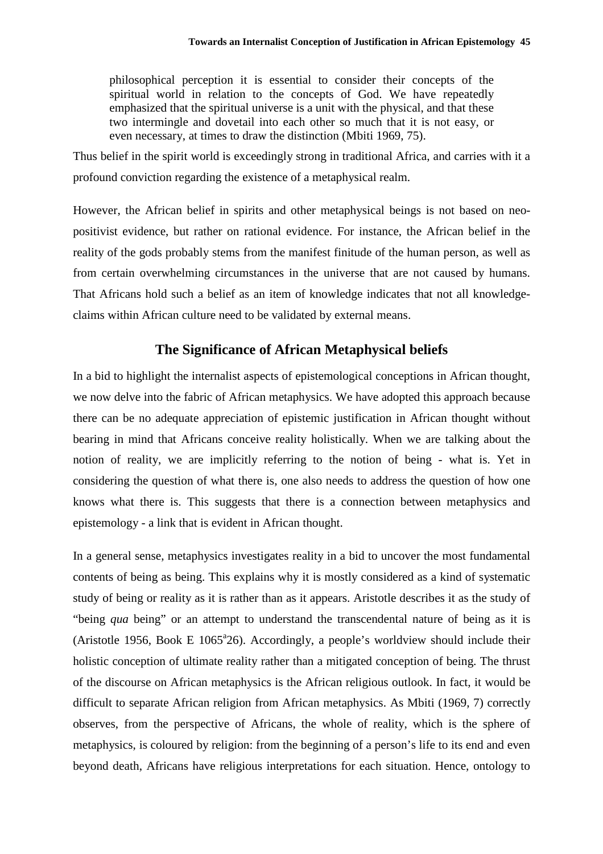philosophical perception it is essential to consider their concepts of the spiritual world in relation to the concepts of God. We have repeatedly emphasized that the spiritual universe is a unit with the physical, and that these two intermingle and dovetail into each other so much that it is not easy, or even necessary, at times to draw the distinction (Mbiti 1969, 75).

Thus belief in the spirit world is exceedingly strong in traditional Africa, and carries with it a profound conviction regarding the existence of a metaphysical realm.

However, the African belief in spirits and other metaphysical beings is not based on neopositivist evidence, but rather on rational evidence. For instance, the African belief in the reality of the gods probably stems from the manifest finitude of the human person, as well as from certain overwhelming circumstances in the universe that are not caused by humans. That Africans hold such a belief as an item of knowledge indicates that not all knowledgeclaims within African culture need to be validated by external means.

# **The Significance of African Metaphysical beliefs**

In a bid to highlight the internalist aspects of epistemological conceptions in African thought, we now delve into the fabric of African metaphysics. We have adopted this approach because there can be no adequate appreciation of epistemic justification in African thought without bearing in mind that Africans conceive reality holistically. When we are talking about the notion of reality, we are implicitly referring to the notion of being - what is. Yet in considering the question of what there is, one also needs to address the question of how one knows what there is. This suggests that there is a connection between metaphysics and epistemology - a link that is evident in African thought.

In a general sense, metaphysics investigates reality in a bid to uncover the most fundamental contents of being as being. This explains why it is mostly considered as a kind of systematic study of being or reality as it is rather than as it appears. Aristotle describes it as the study of "being *qua* being" or an attempt to understand the transcendental nature of being as it is (Aristotle 1956, Book E  $1065^{\circ}26$ ). Accordingly, a people's worldview should include their holistic conception of ultimate reality rather than a mitigated conception of being. The thrust of the discourse on African metaphysics is the African religious outlook. In fact, it would be difficult to separate African religion from African metaphysics. As Mbiti (1969, 7) correctly observes, from the perspective of Africans, the whole of reality, which is the sphere of metaphysics, is coloured by religion: from the beginning of a person's life to its end and even beyond death, Africans have religious interpretations for each situation. Hence, ontology to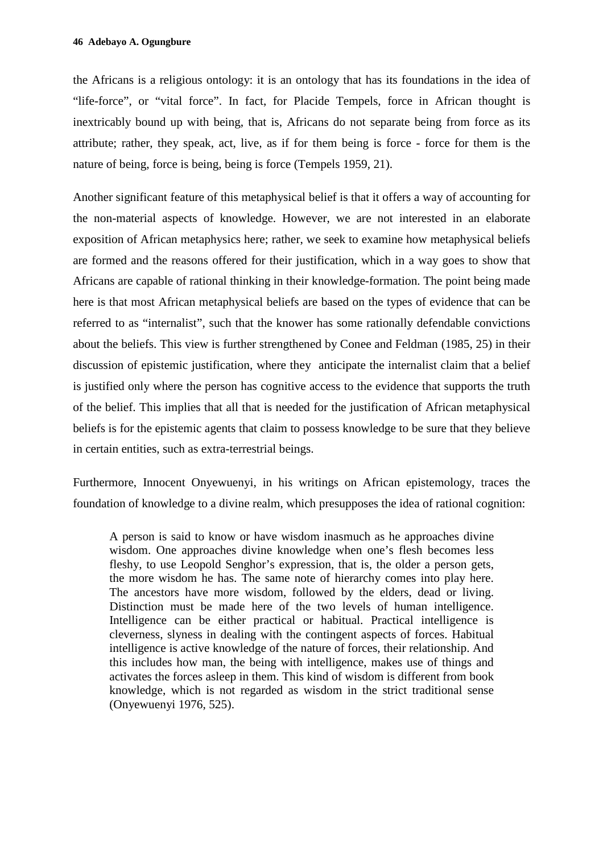the Africans is a religious ontology: it is an ontology that has its foundations in the idea of "life-force", or "vital force". In fact, for Placide Tempels, force in African thought is inextricably bound up with being, that is, Africans do not separate being from force as its attribute; rather, they speak, act, live, as if for them being is force - force for them is the nature of being, force is being, being is force (Tempels 1959, 21).

Another significant feature of this metaphysical belief is that it offers a way of accounting for the non-material aspects of knowledge. However, we are not interested in an elaborate exposition of African metaphysics here; rather, we seek to examine how metaphysical beliefs are formed and the reasons offered for their justification, which in a way goes to show that Africans are capable of rational thinking in their knowledge-formation. The point being made here is that most African metaphysical beliefs are based on the types of evidence that can be referred to as "internalist", such that the knower has some rationally defendable convictions about the beliefs. This view is further strengthened by Conee and Feldman (1985, 25) in their discussion of epistemic justification, where they anticipate the internalist claim that a belief is justified only where the person has cognitive access to the evidence that supports the truth of the belief. This implies that all that is needed for the justification of African metaphysical beliefs is for the epistemic agents that claim to possess knowledge to be sure that they believe in certain entities, such as extra-terrestrial beings.

Furthermore, Innocent Onyewuenyi, in his writings on African epistemology, traces the foundation of knowledge to a divine realm, which presupposes the idea of rational cognition:

A person is said to know or have wisdom inasmuch as he approaches divine wisdom. One approaches divine knowledge when one's flesh becomes less fleshy, to use Leopold Senghor's expression, that is, the older a person gets, the more wisdom he has. The same note of hierarchy comes into play here. The ancestors have more wisdom, followed by the elders, dead or living. Distinction must be made here of the two levels of human intelligence. Intelligence can be either practical or habitual. Practical intelligence is cleverness, slyness in dealing with the contingent aspects of forces. Habitual intelligence is active knowledge of the nature of forces, their relationship. And this includes how man, the being with intelligence, makes use of things and activates the forces asleep in them. This kind of wisdom is different from book knowledge, which is not regarded as wisdom in the strict traditional sense (Onyewuenyi 1976, 525).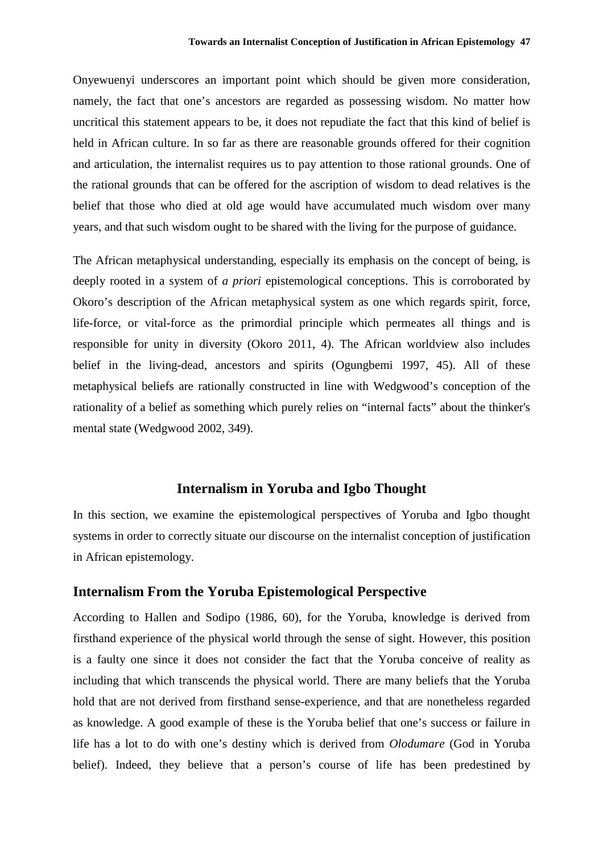Onyewuenyi underscores an important point which should be given more consideration, namely, the fact that one's ancestors are regarded as possessing wisdom. No matter how uncritical this statement appears to be, it does not repudiate the fact that this kind of belief is held in African culture. In so far as there are reasonable grounds offered for their cognition and articulation, the internalist requires us to pay attention to those rational grounds. One of the rational grounds that can be offered for the ascription of wisdom to dead relatives is the belief that those who died at old age would have accumulated much wisdom over many years, and that such wisdom ought to be shared with the living for the purpose of guidance.

The African metaphysical understanding, especially its emphasis on the concept of being, is deeply rooted in a system of *a priori* epistemological conceptions. This is corroborated by Okoro's description of the African metaphysical system as one which regards spirit, force, life-force, or vital-force as the primordial principle which permeates all things and is responsible for unity in diversity (Okoro 2011, 4). The African worldview also includes belief in the living-dead, ancestors and spirits (Ogungbemi 1997, 45). All of these metaphysical beliefs are rationally constructed in line with Wedgwood's conception of the rationality of a belief as something which purely relies on "internal facts" about the thinker's mental state (Wedgwood 2002, 349).

## **Internalism in Yoruba and Igbo Thought**

In this section, we examine the epistemological perspectives of Yoruba and Igbo thought systems in order to correctly situate our discourse on the internalist conception of justification in African epistemology.

## **Internalism From the Yoruba Epistemological Perspective**

According to Hallen and Sodipo (1986, 60), for the Yoruba, knowledge is derived from firsthand experience of the physical world through the sense of sight. However, this position is a faulty one since it does not consider the fact that the Yoruba conceive of reality as including that which transcends the physical world. There are many beliefs that the Yoruba hold that are not derived from firsthand sense-experience, and that are nonetheless regarded as knowledge. A good example of these is the Yoruba belief that one's success or failure in life has a lot to do with one's destiny which is derived from *Olodumare* (God in Yoruba belief). Indeed, they believe that a person's course of life has been predestined by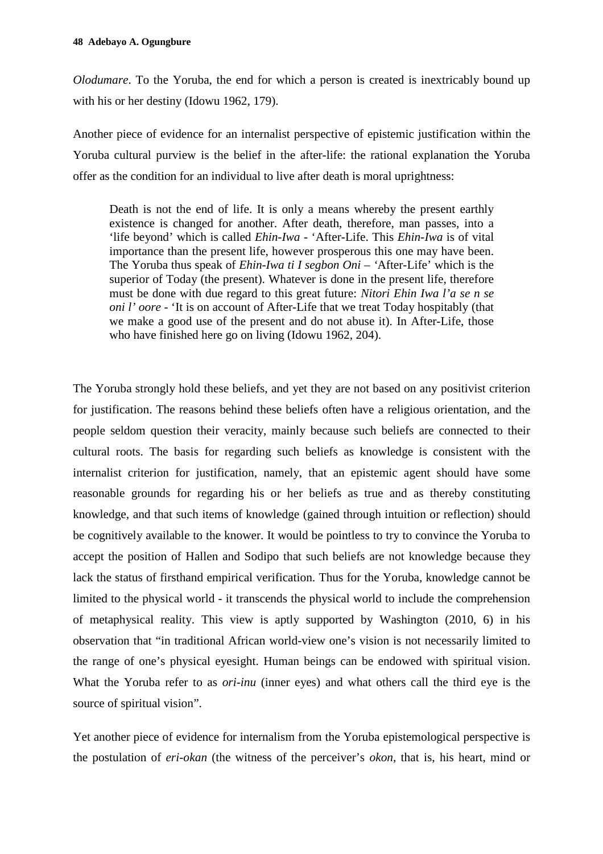*Olodumare*. To the Yoruba, the end for which a person is created is inextricably bound up with his or her destiny (Idowu 1962, 179).

Another piece of evidence for an internalist perspective of epistemic justification within the Yoruba cultural purview is the belief in the after-life: the rational explanation the Yoruba offer as the condition for an individual to live after death is moral uprightness:

Death is not the end of life. It is only a means whereby the present earthly existence is changed for another. After death, therefore, man passes, into a 'life beyond' which is called *Ehin-Iwa* - 'After-Life. This *Ehin-Iwa* is of vital importance than the present life, however prosperous this one may have been. The Yoruba thus speak of *Ehin-Iwa ti I segbon Oni – '*After-Life' which is the superior of Today (the present). Whatever is done in the present life, therefore must be done with due regard to this great future: *Nitori Ehin Iwa l'a se n se oni l' oore* - 'It is on account of After-Life that we treat Today hospitably (that we make a good use of the present and do not abuse it). In After-Life, those who have finished here go on living (Idowu 1962, 204).

The Yoruba strongly hold these beliefs, and yet they are not based on any positivist criterion for justification. The reasons behind these beliefs often have a religious orientation, and the people seldom question their veracity, mainly because such beliefs are connected to their cultural roots. The basis for regarding such beliefs as knowledge is consistent with the internalist criterion for justification, namely, that an epistemic agent should have some reasonable grounds for regarding his or her beliefs as true and as thereby constituting knowledge, and that such items of knowledge (gained through intuition or reflection) should be cognitively available to the knower. It would be pointless to try to convince the Yoruba to accept the position of Hallen and Sodipo that such beliefs are not knowledge because they lack the status of firsthand empirical verification. Thus for the Yoruba, knowledge cannot be limited to the physical world - it transcends the physical world to include the comprehension of metaphysical reality. This view is aptly supported by Washington (2010, 6) in his observation that "in traditional African world-view one's vision is not necessarily limited to the range of one's physical eyesight. Human beings can be endowed with spiritual vision. What the Yoruba refer to as *ori-inu* (inner eyes) and what others call the third eye is the source of spiritual vision".

Yet another piece of evidence for internalism from the Yoruba epistemological perspective is the postulation of *eri-okan* (the witness of the perceiver's *okon*, that is, his heart, mind or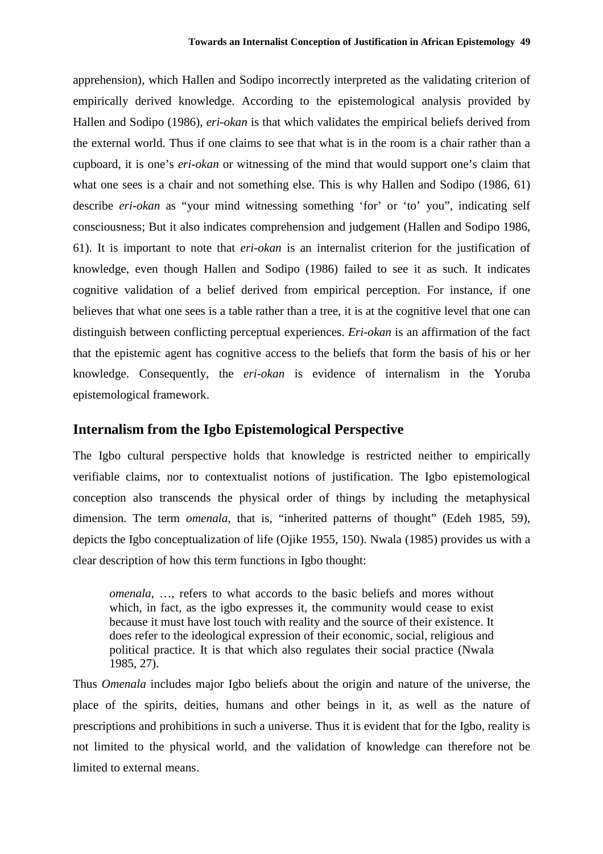apprehension), which Hallen and Sodipo incorrectly interpreted as the validating criterion of empirically derived knowledge. According to the epistemological analysis provided by Hallen and Sodipo (1986), *eri-okan* is that which validates the empirical beliefs derived from the external world. Thus if one claims to see that what is in the room is a chair rather than a cupboard, it is one's *eri-okan* or witnessing of the mind that would support one's claim that what one sees is a chair and not something else. This is why Hallen and Sodipo (1986, 61) describe *eri-okan* as "your mind witnessing something 'for' or 'to' you", indicating self consciousness; But it also indicates comprehension and judgement (Hallen and Sodipo 1986, 61). It is important to note that *eri-okan* is an internalist criterion for the justification of knowledge, even though Hallen and Sodipo (1986) failed to see it as such. It indicates cognitive validation of a belief derived from empirical perception. For instance, if one believes that what one sees is a table rather than a tree, it is at the cognitive level that one can distinguish between conflicting perceptual experiences. *Eri-okan* is an affirmation of the fact that the epistemic agent has cognitive access to the beliefs that form the basis of his or her knowledge. Consequently, the *eri-okan* is evidence of internalism in the Yoruba epistemological framework.

#### **Internalism from the Igbo Epistemological Perspective**

The Igbo cultural perspective holds that knowledge is restricted neither to empirically verifiable claims, nor to contextualist notions of justification. The Igbo epistemological conception also transcends the physical order of things by including the metaphysical dimension. The term *omenala*, that is, "inherited patterns of thought" (Edeh 1985, 59), depicts the Igbo conceptualization of life (Ojike 1955, 150). Nwala (1985) provides us with a clear description of how this term functions in Igbo thought:

*omenala*, ..., refers to what accords to the basic beliefs and mores without which, in fact, as the igbo expresses it, the community would cease to exist because it must have lost touch with reality and the source of their existence. It does refer to the ideological expression of their economic, social, religious and political practice. It is that which also regulates their social practice (Nwala 1985, 27).

Thus *Omenala* includes major Igbo beliefs about the origin and nature of the universe, the place of the spirits, deities, humans and other beings in it, as well as the nature of prescriptions and prohibitions in such a universe. Thus it is evident that for the Igbo, reality is not limited to the physical world, and the validation of knowledge can therefore not be limited to external means.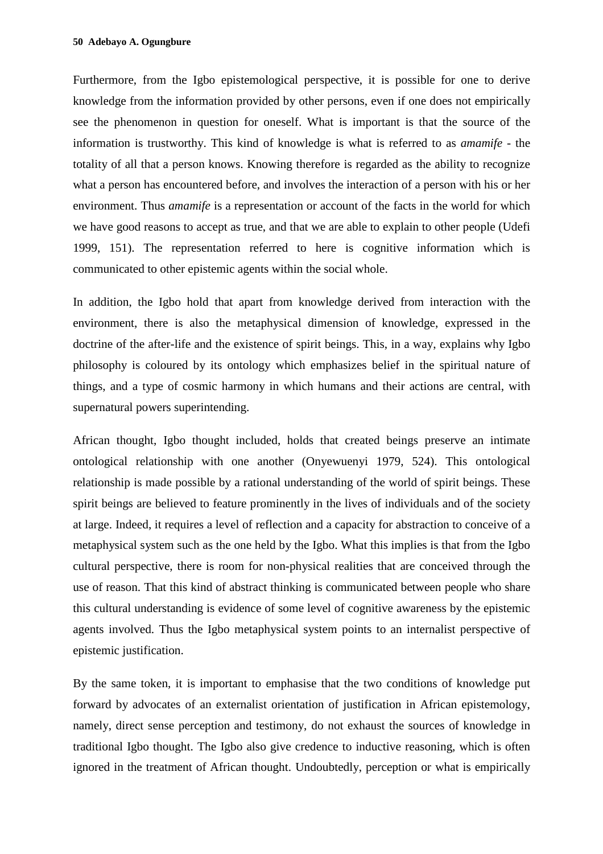Furthermore, from the Igbo epistemological perspective, it is possible for one to derive knowledge from the information provided by other persons, even if one does not empirically see the phenomenon in question for oneself. What is important is that the source of the information is trustworthy. This kind of knowledge is what is referred to as *amamife* - the totality of all that a person knows. Knowing therefore is regarded as the ability to recognize what a person has encountered before, and involves the interaction of a person with his or her environment. Thus *amamife* is a representation or account of the facts in the world for which we have good reasons to accept as true, and that we are able to explain to other people (Udefi 1999, 151). The representation referred to here is cognitive information which is communicated to other epistemic agents within the social whole.

In addition, the Igbo hold that apart from knowledge derived from interaction with the environment, there is also the metaphysical dimension of knowledge, expressed in the doctrine of the after-life and the existence of spirit beings. This, in a way, explains why Igbo philosophy is coloured by its ontology which emphasizes belief in the spiritual nature of things, and a type of cosmic harmony in which humans and their actions are central, with supernatural powers superintending.

African thought, Igbo thought included, holds that created beings preserve an intimate ontological relationship with one another (Onyewuenyi 1979, 524). This ontological relationship is made possible by a rational understanding of the world of spirit beings. These spirit beings are believed to feature prominently in the lives of individuals and of the society at large. Indeed, it requires a level of reflection and a capacity for abstraction to conceive of a metaphysical system such as the one held by the Igbo. What this implies is that from the Igbo cultural perspective, there is room for non-physical realities that are conceived through the use of reason. That this kind of abstract thinking is communicated between people who share this cultural understanding is evidence of some level of cognitive awareness by the epistemic agents involved. Thus the Igbo metaphysical system points to an internalist perspective of epistemic justification.

By the same token, it is important to emphasise that the two conditions of knowledge put forward by advocates of an externalist orientation of justification in African epistemology, namely, direct sense perception and testimony, do not exhaust the sources of knowledge in traditional Igbo thought. The Igbo also give credence to inductive reasoning, which is often ignored in the treatment of African thought. Undoubtedly, perception or what is empirically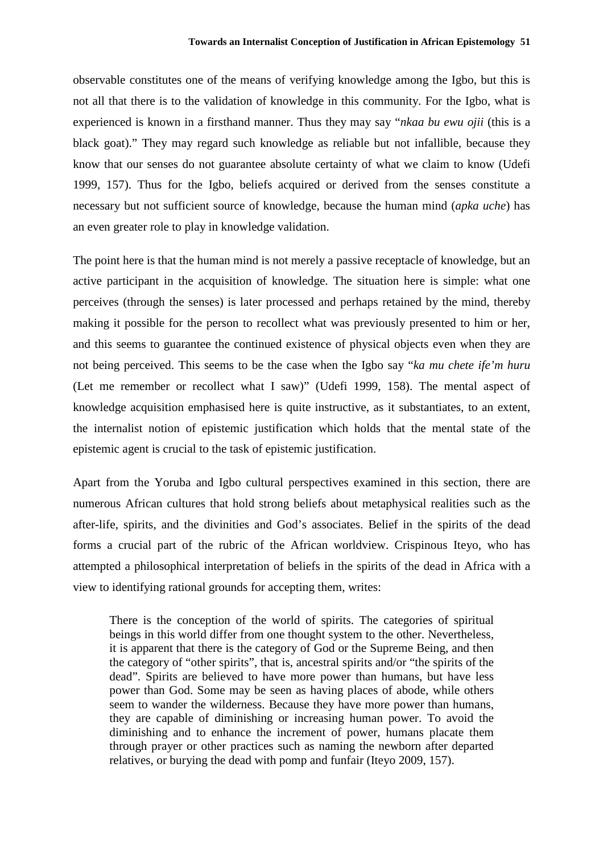observable constitutes one of the means of verifying knowledge among the Igbo, but this is not all that there is to the validation of knowledge in this community. For the Igbo, what is experienced is known in a firsthand manner. Thus they may say "*nkaa bu ewu ojii* (this is a black goat)." They may regard such knowledge as reliable but not infallible, because they know that our senses do not guarantee absolute certainty of what we claim to know (Udefi 1999, 157). Thus for the Igbo, beliefs acquired or derived from the senses constitute a necessary but not sufficient source of knowledge, because the human mind (*apka uche*) has an even greater role to play in knowledge validation.

The point here is that the human mind is not merely a passive receptacle of knowledge, but an active participant in the acquisition of knowledge. The situation here is simple: what one perceives (through the senses) is later processed and perhaps retained by the mind, thereby making it possible for the person to recollect what was previously presented to him or her, and this seems to guarantee the continued existence of physical objects even when they are not being perceived. This seems to be the case when the Igbo say "*ka mu chete ife'm huru* (Let me remember or recollect what I saw)" (Udefi 1999, 158). The mental aspect of knowledge acquisition emphasised here is quite instructive, as it substantiates, to an extent, the internalist notion of epistemic justification which holds that the mental state of the epistemic agent is crucial to the task of epistemic justification.

Apart from the Yoruba and Igbo cultural perspectives examined in this section, there are numerous African cultures that hold strong beliefs about metaphysical realities such as the after-life, spirits, and the divinities and God's associates. Belief in the spirits of the dead forms a crucial part of the rubric of the African worldview. Crispinous Iteyo, who has attempted a philosophical interpretation of beliefs in the spirits of the dead in Africa with a view to identifying rational grounds for accepting them, writes:

There is the conception of the world of spirits. The categories of spiritual beings in this world differ from one thought system to the other. Nevertheless, it is apparent that there is the category of God or the Supreme Being, and then the category of "other spirits", that is, ancestral spirits and/or "the spirits of the dead". Spirits are believed to have more power than humans, but have less power than God. Some may be seen as having places of abode, while others seem to wander the wilderness. Because they have more power than humans, they are capable of diminishing or increasing human power. To avoid the diminishing and to enhance the increment of power, humans placate them through prayer or other practices such as naming the newborn after departed relatives, or burying the dead with pomp and funfair (Iteyo 2009, 157).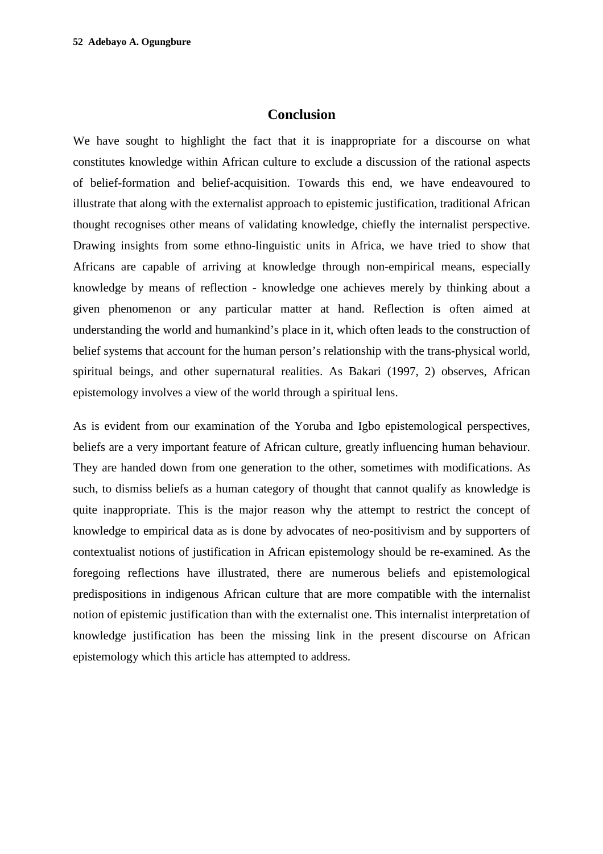## **Conclusion**

We have sought to highlight the fact that it is inappropriate for a discourse on what constitutes knowledge within African culture to exclude a discussion of the rational aspects of belief-formation and belief-acquisition. Towards this end, we have endeavoured to illustrate that along with the externalist approach to epistemic justification, traditional African thought recognises other means of validating knowledge, chiefly the internalist perspective. Drawing insights from some ethno-linguistic units in Africa, we have tried to show that Africans are capable of arriving at knowledge through non-empirical means, especially knowledge by means of reflection - knowledge one achieves merely by thinking about a given phenomenon or any particular matter at hand. Reflection is often aimed at understanding the world and humankind's place in it, which often leads to the construction of belief systems that account for the human person's relationship with the trans-physical world, spiritual beings, and other supernatural realities. As Bakari (1997, 2) observes, African epistemology involves a view of the world through a spiritual lens.

As is evident from our examination of the Yoruba and Igbo epistemological perspectives, beliefs are a very important feature of African culture, greatly influencing human behaviour. They are handed down from one generation to the other, sometimes with modifications. As such, to dismiss beliefs as a human category of thought that cannot qualify as knowledge is quite inappropriate. This is the major reason why the attempt to restrict the concept of knowledge to empirical data as is done by advocates of neo-positivism and by supporters of contextualist notions of justification in African epistemology should be re-examined. As the foregoing reflections have illustrated, there are numerous beliefs and epistemological predispositions in indigenous African culture that are more compatible with the internalist notion of epistemic justification than with the externalist one. This internalist interpretation of knowledge justification has been the missing link in the present discourse on African epistemology which this article has attempted to address.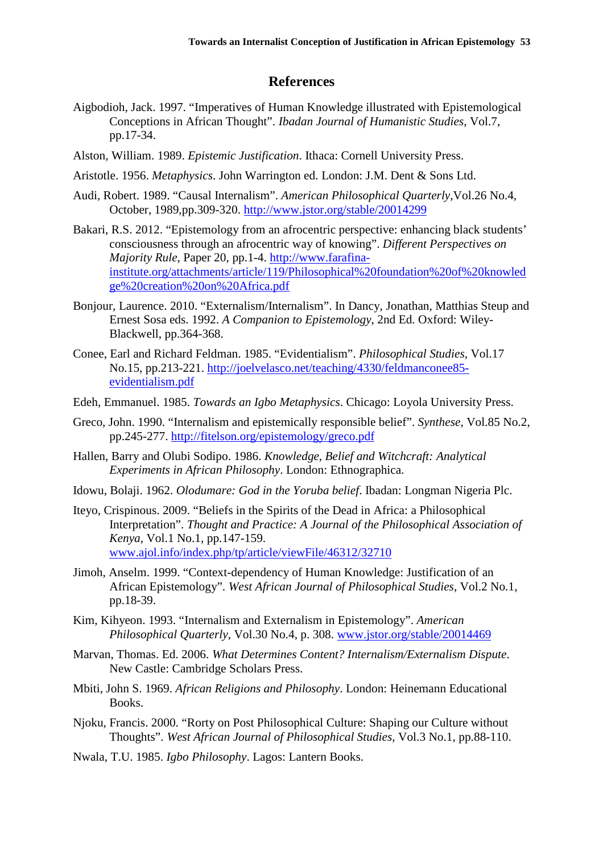## **References**

- Aigbodioh, Jack. 1997. "Imperatives of Human Knowledge illustrated with Epistemological Conceptions in African Thought". *Ibadan Journal of Humanistic Studies*, Vol.7, pp.17-34.
- Alston, William. 1989. *Epistemic Justification*. Ithaca: Cornell University Press.
- Aristotle. 1956. *Metaphysics*. John Warrington ed. London: J.M. Dent & Sons Ltd.
- Audi, Robert. 1989. "Causal Internalism". *American Philosophical Quarterly*,Vol.26 No.4, October, 1989,pp.309-320. http://www.jstor.org/stable/20014299
- Bakari, R.S. 2012. "Epistemology from an afrocentric perspective: enhancing black students' consciousness through an afrocentric way of knowing". *Different Perspectives on Majority Rule*, Paper 20, pp.1-4. http://www.farafinainstitute.org/attachments/article/119/Philosophical%20foundation%20of%20knowled ge%20creation%20on%20Africa.pdf
- Bonjour, Laurence. 2010. "Externalism/Internalism". In Dancy, Jonathan, Matthias Steup and Ernest Sosa eds. 1992. *A Companion to Epistemology*, 2nd Ed. Oxford: Wiley-Blackwell, pp.364-368.
- Conee, Earl and Richard Feldman. 1985. "Evidentialism". *Philosophical Studies*, Vol.17 No.15, pp.213-221. http://joelvelasco.net/teaching/4330/feldmanconee85 evidentialism.pdf
- Edeh, Emmanuel. 1985. *Towards an Igbo Metaphysics*. Chicago: Loyola University Press.
- Greco, John. 1990. "Internalism and epistemically responsible belief". *Synthese*, Vol.85 No.2, pp.245-277. http://fitelson.org/epistemology/greco.pdf
- Hallen, Barry and Olubi Sodipo. 1986. *Knowledge, Belief and Witchcraft: Analytical Experiments in African Philosophy*. London: Ethnographica.
- Idowu, Bolaji. 1962. *Olodumare: God in the Yoruba belief*. Ibadan: Longman Nigeria Plc.
- Iteyo, Crispinous. 2009. "Beliefs in the Spirits of the Dead in Africa: a Philosophical Interpretation". *Thought and Practice: A Journal of the Philosophical Association of Kenya*, Vol.1 No.1, pp.147-159. www.ajol.info/index.php/tp/article/viewFile/46312/32710
- Jimoh, Anselm. 1999. "Context-dependency of Human Knowledge: Justification of an African Epistemology". *West African Journal of Philosophical Studies*, Vol.2 No.1, pp.18-39.
- Kim, Kihyeon. 1993. "Internalism and Externalism in Epistemology". *American Philosophical Quarterly*, Vol.30 No.4, p. 308. www.jstor.org/stable/20014469
- Marvan, Thomas. Ed. 2006. *What Determines Content? Internalism/Externalism Dispute*. New Castle: Cambridge Scholars Press.
- Mbiti, John S. 1969. *African Religions and Philosophy*. London: Heinemann Educational Books.
- Njoku, Francis. 2000. "Rorty on Post Philosophical Culture: Shaping our Culture without Thoughts". *West African Journal of Philosophical Studies*, Vol.3 No.1, pp.88-110.
- Nwala, T.U. 1985. *Igbo Philosophy*. Lagos: Lantern Books.